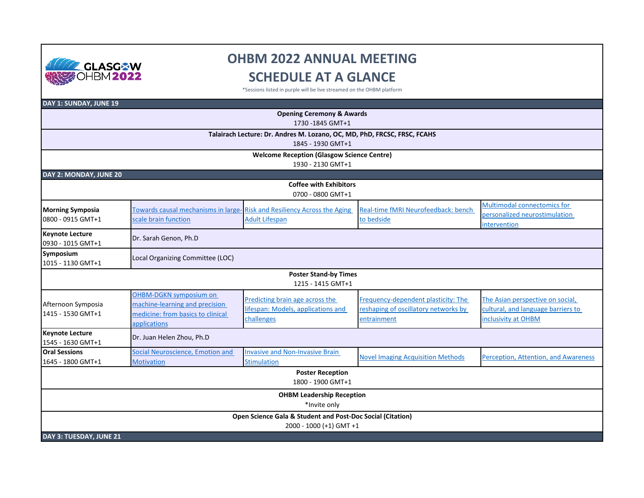

## **OHBM 2022 ANNUAL MEETING SCHEDULE AT A GLANCE**

\*Sessions listed in purple will be live streamed on the OHBM platform

| DAY 1: SUNDAY, JUNE 19                                                   |                                   |                                                                                 |                                          |                                      |  |  |  |  |
|--------------------------------------------------------------------------|-----------------------------------|---------------------------------------------------------------------------------|------------------------------------------|--------------------------------------|--|--|--|--|
|                                                                          |                                   | <b>Opening Ceremony &amp; Awards</b>                                            |                                          |                                      |  |  |  |  |
| 1730-1845 GMT+1                                                          |                                   |                                                                                 |                                          |                                      |  |  |  |  |
| Talairach Lecture: Dr. Andres M. Lozano, OC, MD, PhD, FRCSC, FRSC, FCAHS |                                   |                                                                                 |                                          |                                      |  |  |  |  |
|                                                                          |                                   | 1845 - 1930 GMT+1                                                               |                                          |                                      |  |  |  |  |
|                                                                          |                                   | <b>Welcome Reception (Glasgow Science Centre)</b>                               |                                          |                                      |  |  |  |  |
|                                                                          |                                   | 1930 - 2130 GMT+1                                                               |                                          |                                      |  |  |  |  |
| DAY 2: MONDAY, JUNE 20                                                   |                                   |                                                                                 |                                          |                                      |  |  |  |  |
| <b>Coffee with Exhibitors</b><br>0700 - 0800 GMT+1                       |                                   |                                                                                 |                                          |                                      |  |  |  |  |
| <b>Morning Symposia</b>                                                  |                                   | <b>Towards causal mechanisms in large-</b> Risk and Resiliency Across the Aging | Real-time fMRI Neurofeedback: bench      | Multimodal connectomics for          |  |  |  |  |
| 0800 - 0915 GMT+1                                                        | scale brain function              | <b>Adult Lifespan</b>                                                           | to bedside                               | personalized neurostimulation        |  |  |  |  |
|                                                                          |                                   |                                                                                 |                                          | intervention                         |  |  |  |  |
| <b>Keynote Lecture</b><br>0930 - 1015 GMT+1                              | Dr. Sarah Genon, Ph.D             |                                                                                 |                                          |                                      |  |  |  |  |
| Symposium<br>1015 - 1130 GMT+1                                           | Local Organizing Committee (LOC)  |                                                                                 |                                          |                                      |  |  |  |  |
|                                                                          |                                   | <b>Poster Stand-by Times</b><br>1215 - 1415 GMT+1                               |                                          |                                      |  |  |  |  |
|                                                                          | OHBM-DGKN symposium on            | Predicting brain age across the                                                 | Frequency-dependent plasticity: The      | The Asian perspective on social,     |  |  |  |  |
| Afternoon Symposia                                                       | machine-learning and precision    | lifespan: Models, applications and                                              | reshaping of oscillatory networks by     | cultural, and language barriers to   |  |  |  |  |
| 1415 - 1530 GMT+1                                                        | medicine: from basics to clinical | challenges                                                                      | entrainment                              | inclusivity at OHBM                  |  |  |  |  |
|                                                                          | applications                      |                                                                                 |                                          |                                      |  |  |  |  |
| <b>Keynote Lecture</b><br>1545 - 1630 GMT+1                              | Dr. Juan Helen Zhou, Ph.D         |                                                                                 |                                          |                                      |  |  |  |  |
| <b>Oral Sessions</b>                                                     | Social Neuroscience, Emotion and  | <b>Invasive and Non-Invasive Brain</b>                                          | <b>Novel Imaging Acquisition Methods</b> | Perception, Attention, and Awareness |  |  |  |  |
| 1645 - 1800 GMT+1                                                        | <b>Motivation</b>                 | <b>Stimulation</b>                                                              |                                          |                                      |  |  |  |  |
|                                                                          |                                   | <b>Poster Reception</b><br>1800 - 1900 GMT+1                                    |                                          |                                      |  |  |  |  |
|                                                                          |                                   | <b>OHBM Leadership Reception</b>                                                |                                          |                                      |  |  |  |  |
|                                                                          |                                   | *Invite only                                                                    |                                          |                                      |  |  |  |  |
|                                                                          |                                   | Open Science Gala & Student and Post-Doc Social (Citation)                      |                                          |                                      |  |  |  |  |
|                                                                          |                                   | 2000 - 1000 (+1) GMT +1                                                         |                                          |                                      |  |  |  |  |
| DAY 3: TUESDAY, JUNE 21                                                  |                                   |                                                                                 |                                          |                                      |  |  |  |  |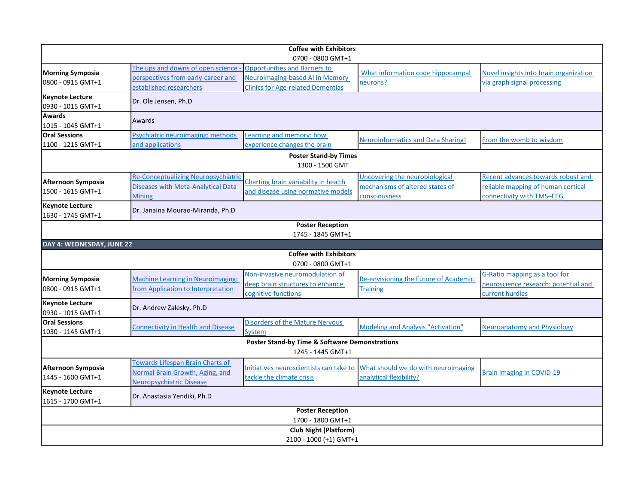| <b>Coffee with Exhibitors</b>                                                  |                                                                                |                                                                         |                                                          |                                                                 |  |  |  |  |
|--------------------------------------------------------------------------------|--------------------------------------------------------------------------------|-------------------------------------------------------------------------|----------------------------------------------------------|-----------------------------------------------------------------|--|--|--|--|
|                                                                                |                                                                                | 0700 - 0800 GMT+1                                                       |                                                          |                                                                 |  |  |  |  |
| <b>Morning Symposia</b>                                                        | The ups and downs of open science<br>perspectives from early-career and        | <b>Opportunities and Barriers to</b><br>Neuroimaging-based AI in Memory | What information code hippocampal                        | Novel insights into brain organization                          |  |  |  |  |
| 0800 - 0915 GMT+1                                                              | established researchers                                                        | <b>Clinics for Age-related Dementias</b>                                | neurons?                                                 | via graph signal processing                                     |  |  |  |  |
| <b>Keynote Lecture</b><br>0930 - 1015 GMT+1                                    | Dr. Ole Jensen, Ph.D                                                           |                                                                         |                                                          |                                                                 |  |  |  |  |
| <b>Awards</b><br>1015 - 1045 GMT+1                                             | Awards                                                                         |                                                                         |                                                          |                                                                 |  |  |  |  |
| <b>Oral Sessions</b>                                                           | Psychiatric neuroimaging: methods                                              | Learning and memory: how                                                | <b>Neuroinformatics and Data Sharing!</b>                | From the womb to wisdom                                         |  |  |  |  |
| 1100 - 1215 GMT+1                                                              | and applications                                                               | experience changes the brain                                            |                                                          |                                                                 |  |  |  |  |
| <b>Poster Stand-by Times</b><br>1300 - 1500 GMT                                |                                                                                |                                                                         |                                                          |                                                                 |  |  |  |  |
| Afternoon Symposia                                                             | <b>Re-Conceptualizing Neuropsychiatric</b>                                     | Charting brain variability in health                                    | Uncovering the neurobiological                           | Recent advances towards robust and                              |  |  |  |  |
| 1500 - 1615 GMT+1                                                              | <b>Diseases with Meta-Analytical Data</b><br><b>Mining</b>                     | and disease using normative models                                      | mechanisms of altered states of<br>consciousness         | reliable mapping of human cortical<br>connectivity with TMS-EEG |  |  |  |  |
| <b>Keynote Lecture</b><br>1630 - 1745 GMT+1                                    | Dr. Janaina Mourao-Miranda, Ph.D                                               |                                                                         |                                                          |                                                                 |  |  |  |  |
|                                                                                |                                                                                | <b>Poster Reception</b>                                                 |                                                          |                                                                 |  |  |  |  |
|                                                                                |                                                                                | 1745 - 1845 GMT+1                                                       |                                                          |                                                                 |  |  |  |  |
| DAY 4: WEDNESDAY, JUNE 22                                                      |                                                                                |                                                                         |                                                          |                                                                 |  |  |  |  |
|                                                                                |                                                                                | <b>Coffee with Exhibitors</b><br>0700 - 0800 GMT+1                      |                                                          |                                                                 |  |  |  |  |
|                                                                                |                                                                                | Non-invasive neuromodulation of                                         |                                                          | G-Ratio mapping as a tool for                                   |  |  |  |  |
| <b>Morning Symposia</b><br>0800 - 0915 GMT+1                                   | <b>Machine Learning in Neuroimaging:</b><br>from Application to Interpretation | deep brain structures to enhance                                        | Re-envisioning the Future of Academic<br><b>Training</b> | neuroscience research: potential and                            |  |  |  |  |
|                                                                                |                                                                                | cognitive functions                                                     |                                                          | current hurdles                                                 |  |  |  |  |
| <b>Keynote Lecture</b><br>0930 - 1015 GMT+1                                    | Dr. Andrew Zalesky, Ph.D                                                       |                                                                         |                                                          |                                                                 |  |  |  |  |
| <b>Oral Sessions</b><br>1030 - 1145 GMT+1                                      | <b>Connectivity in Health and Disease</b>                                      | <b>Disorders of the Mature Nervous</b><br><b>System</b>                 | <b>Modeling and Analysis "Activation"</b>                | Neuroanatomy and Physiology                                     |  |  |  |  |
| <b>Poster Stand-by Time &amp; Software Demonstrations</b><br>1245 - 1445 GMT+1 |                                                                                |                                                                         |                                                          |                                                                 |  |  |  |  |
| Afternoon Symposia                                                             | <b>Towards Lifespan Brain Charts of</b>                                        | Initiatives neuroscientists can take to                                 | What should we do with neuroimaging                      |                                                                 |  |  |  |  |
| 1445 - 1600 GMT+1                                                              | Normal Brain Growth, Aging, and<br><b>Neuropsychiatric Disease</b>             | tackle the climate crisis                                               | analytical flexibility?                                  | <b>Brain imaging in COVID-19</b>                                |  |  |  |  |
| <b>Keynote Lecture</b><br>1615 - 1700 GMT+1                                    | Dr. Anastasia Yendiki, Ph.D                                                    |                                                                         |                                                          |                                                                 |  |  |  |  |
| <b>Poster Reception</b><br>1700 - 1800 GMT+1                                   |                                                                                |                                                                         |                                                          |                                                                 |  |  |  |  |
| <b>Club Night (Platform)</b>                                                   |                                                                                |                                                                         |                                                          |                                                                 |  |  |  |  |
| 2100 - 1000 (+1) GMT+1                                                         |                                                                                |                                                                         |                                                          |                                                                 |  |  |  |  |